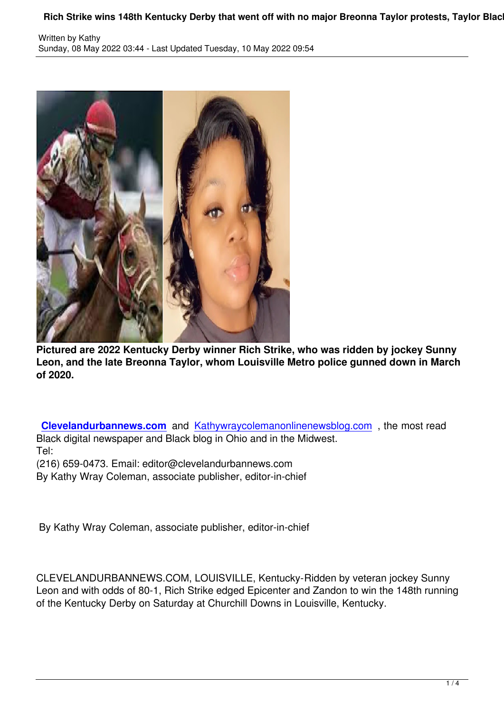

**Pictured are 2022 Kentucky Derby winner Rich Strike, who was ridden by jockey Sunny Leon, and the late Breonna Taylor, whom Louisville Metro police gunned down in March of 2020.**

**Clevelandurbannews.com** and Kathywraycolemanonlinenewsblog.com , the most read Black digital newspaper and Black blog in Ohio and in the Midwest. Tel:

([216\) 659-0473. Email: editor](http://clevelandurbannews.com/)@cle[velandurbannews.com](https://www.kathywraycolemanonlinenewsblog.com)

By Kathy Wray Coleman, associate publisher, editor-in-chief

By Kathy Wray Coleman, associate publisher, editor-in-chief

CLEVELANDURBANNEWS.COM, LOUISVILLE, Kentucky-Ridden by veteran jockey Sunny Leon and with odds of 80-1, Rich Strike edged Epicenter and Zandon to win the 148th running of the Kentucky Derby on Saturday at Churchill Downs in Louisville, Kentucky.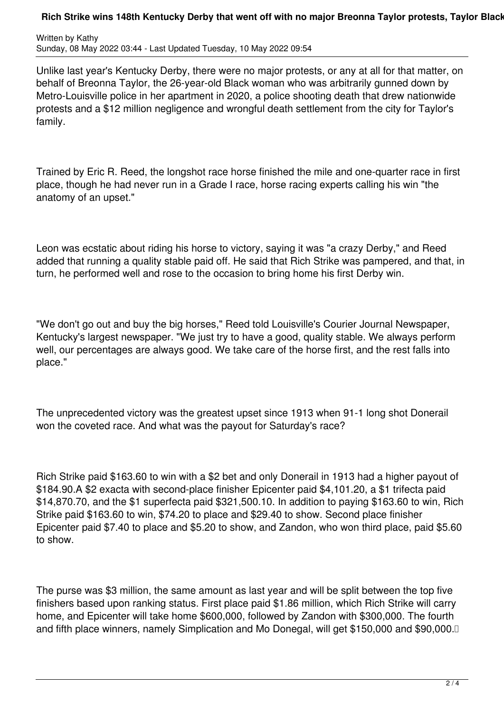## Rich Strike wins 148th Kentucky Derby that went off with no major Breonna Taylor protests, Taylor Black

Written by Kathy Sunday, 08 May 2022 03:44 - Last Updated Tuesday, 10 May 2022 09:54

Unlike last year's Kentucky Derby, there were no major protests, or any at all for that matter, on behalf of Breonna Taylor, the 26-year-old Black woman who was arbitrarily gunned down by Metro-Louisville police in her apartment in 2020, a police shooting death that drew nationwide protests and a \$12 million negligence and wrongful death settlement from the city for Taylor's family.

Trained by Eric R. Reed, the longshot race horse finished the mile and one-quarter race in first place, though he had never run in a Grade I race, horse racing experts calling his win "the anatomy of an upset."

Leon was ecstatic about riding his horse to victory, saying it was "a crazy Derby," and Reed added that running a quality stable paid off. He said that Rich Strike was pampered, and that, in turn, he performed well and rose to the occasion to bring home his first Derby win.

"We don't go out and buy the big horses," Reed told Louisville's Courier Journal Newspaper, Kentucky's largest newspaper. "We just try to have a good, quality stable. We always perform well, our percentages are always good. We take care of the horse first, and the rest falls into place."

The unprecedented victory was the greatest upset since 1913 when 91-1 long shot Donerail won the coveted race. And what was the payout for Saturday's race?

Rich Strike paid \$163.60 to win with a \$2 bet and only Donerail in 1913 had a higher payout of \$184.90.A \$2 exacta with second-place finisher Epicenter paid \$4,101.20, a \$1 trifecta paid \$14,870.70, and the \$1 superfecta paid \$321,500.10. In addition to paying \$163.60 to win, Rich Strike paid \$163.60 to win, \$74.20 to place and \$29.40 to show. Second place finisher Epicenter paid \$7.40 to place and \$5.20 to show, and Zandon, who won third place, paid \$5.60 to show.

The purse was \$3 million, the same amount as last year and will be split between the top five finishers based upon ranking status. First place paid \$1.86 million, which Rich Strike will carry home, and Epicenter will take home \$600,000, followed by Zandon with \$300,000. The fourth and fifth place winners, namely Simplication and Mo Donegal, will get \$150,000 and \$90,000.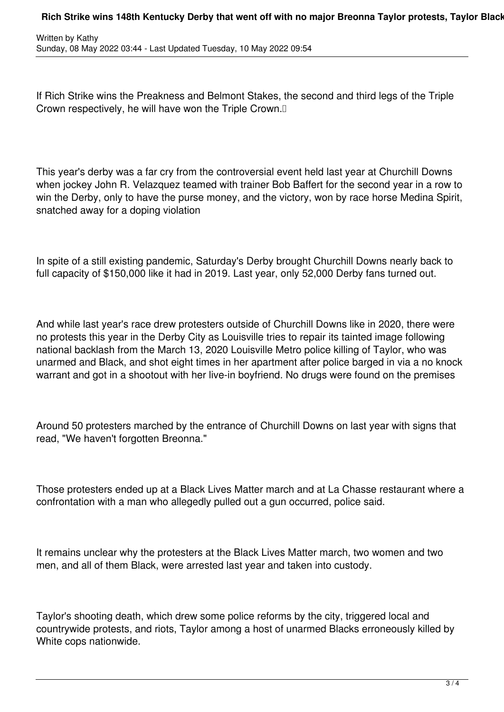If Rich Strike wins the Preakness and Belmont Stakes, the second and third legs of the Triple Crown respectively, he will have won the Triple Crown.

This year's derby was a far cry from the controversial event held last year at Churchill Downs when jockey John R. Velazquez teamed with trainer Bob Baffert for the second year in a row to win the Derby, only to have the purse money, and the victory, won by race horse Medina Spirit, snatched away for a doping violation

In spite of a still existing pandemic, Saturday's Derby brought Churchill Downs nearly back to full capacity of \$150,000 like it had in 2019. Last year, only 52,000 Derby fans turned out.

And while last year's race drew protesters outside of Churchill Downs like in 2020, there were no protests this year in the Derby City as Louisville tries to repair its tainted image following national backlash from the March 13, 2020 Louisville Metro police killing of Taylor, who was unarmed and Black, and shot eight times in her apartment after police barged in via a no knock warrant and got in a shootout with her live-in boyfriend. No drugs were found on the premises

Around 50 protesters marched by the entrance of Churchill Downs on last year with signs that read, "We haven't forgotten Breonna."

Those protesters ended up at a Black Lives Matter march and at La Chasse restaurant where a confrontation with a man who allegedly pulled out a gun occurred, police said.

It remains unclear why the protesters at the Black Lives Matter march, two women and two men, and all of them Black, were arrested last year and taken into custody.

Taylor's shooting death, which drew some police reforms by the city, triggered local and countrywide protests, and riots, Taylor among a host of unarmed Blacks erroneously killed by White cops nationwide.